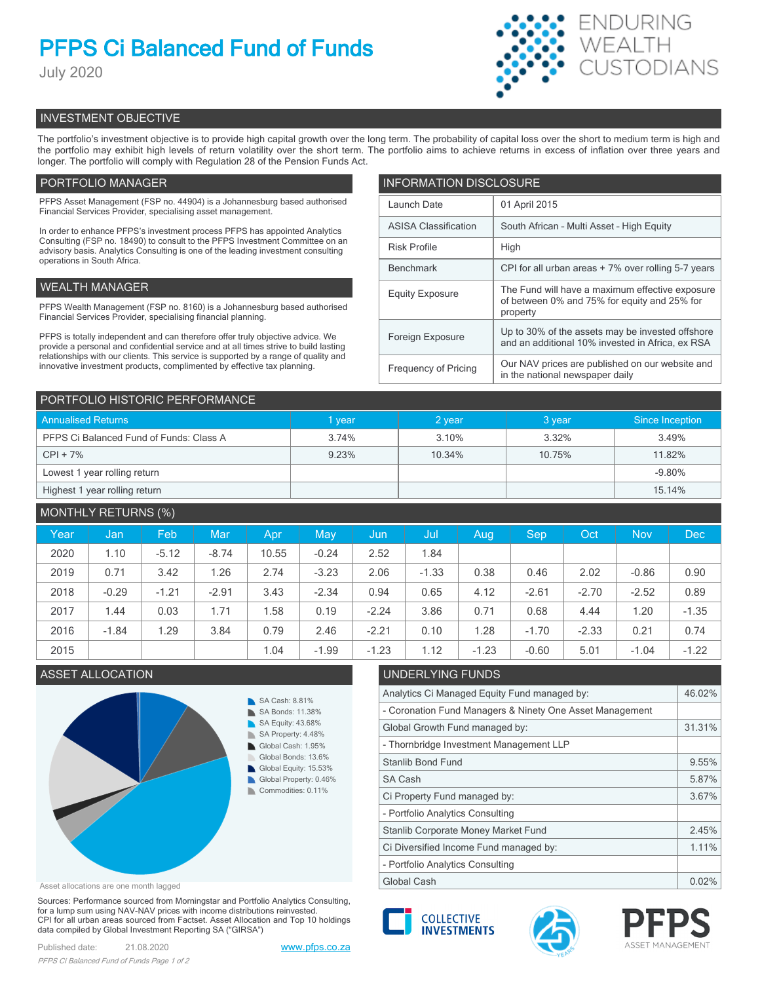# **PFPS Ci Balanced Fund of Funds**

July 2020



# INVESTMENT OBJECTIVE

The portfolio's investment objective is to provide high capital growth over the long term. The probability of capital loss over the short to medium term is high and the portfolio may exhibit high levels of return volatility over the short term. The portfolio aims to achieve returns in excess of inflation over three years and longer. The portfolio will comply with Regulation 28 of the Pension Funds Act.

# PORTFOLIO MANAGER

PFPS Asset Management (FSP no. 44904) is a Johannesburg based authorised Financial Services Provider, specialising asset management.

In order to enhance PFPS's investment process PFPS has appointed Analytics Consulting (FSP no. 18490) to consult to the PFPS Investment Committee on an advisory basis. Analytics Consulting is one of the leading investment consulting operations in South Africa.

### WEALTH MANAGER

PFPS Wealth Management (FSP no. 8160) is a Johannesburg based authorised Financial Services Provider, specialising financial planning.

PFPS is totally independent and can therefore offer truly objective advice. We provide a personal and confidential service and at all times strive to build lasting relationships with our clients. This service is supported by a range of quality and innovative investment products, complimented by effective tax planning.

| <b>INFORMATION DISCLOSURE</b> |                                                                                                             |  |  |  |
|-------------------------------|-------------------------------------------------------------------------------------------------------------|--|--|--|
| Launch Date                   | 01 April 2015                                                                                               |  |  |  |
| <b>ASISA Classification</b>   | South African - Multi Asset - High Equity                                                                   |  |  |  |
| <b>Risk Profile</b>           | High                                                                                                        |  |  |  |
| <b>Benchmark</b>              | CPI for all urban areas + 7% over rolling 5-7 years                                                         |  |  |  |
| <b>Equity Exposure</b>        | The Fund will have a maximum effective exposure<br>of between 0% and 75% for equity and 25% for<br>property |  |  |  |
| Foreign Exposure              | Up to 30% of the assets may be invested offshore<br>and an additional 10% invested in Africa, ex RSA        |  |  |  |
| <b>Frequency of Pricing</b>   | Our NAV prices are published on our website and<br>in the national newspaper daily                          |  |  |  |

| PORTFOLIO HISTORIC PERFORMANCE          |        |        |        |                 |  |  |
|-----------------------------------------|--------|--------|--------|-----------------|--|--|
| <b>Annualised Returns</b>               | 1 year | 2 year | 3 year | Since Inception |  |  |
| PFPS Ci Balanced Fund of Funds: Class A | 3.74%  | 3.10%  | 3.32%  | 3.49%           |  |  |
| $CPI + 7%$                              | 9.23%  | 10.34% | 10.75% | 11.82%          |  |  |
| Lowest 1 year rolling return            |        |        |        | $-9.80%$        |  |  |
| Highest 1 year rolling return           |        |        |        | 15.14%          |  |  |

| <b>MONTHLY RETURNS (%)</b> |         |         |         |       |         |         |         |         |            |         |            |         |
|----------------------------|---------|---------|---------|-------|---------|---------|---------|---------|------------|---------|------------|---------|
| Year                       | Jan     | Feb     | Mar     | Apr   | May     | Jun     | Jul     | Aug     | <b>Sep</b> | Oct     | <b>Nov</b> | Dec     |
| 2020                       | 1.10    | $-5.12$ | $-8.74$ | 10.55 | $-0.24$ | 2.52    | 1.84    |         |            |         |            |         |
| 2019                       | 0.71    | 3.42    | 1.26    | 2.74  | $-3.23$ | 2.06    | $-1.33$ | 0.38    | 0.46       | 2.02    | $-0.86$    | 0.90    |
| 2018                       | $-0.29$ | $-1.21$ | $-2.91$ | 3.43  | $-2.34$ | 0.94    | 0.65    | 4.12    | $-2.61$    | $-2.70$ | $-2.52$    | 0.89    |
| 2017                       | 1.44    | 0.03    | 1.71    | .58   | 0.19    | $-2.24$ | 3.86    | 0.71    | 0.68       | 4.44    | 1.20       | $-1.35$ |
| 2016                       | $-1.84$ | 1.29    | 3.84    | 0.79  | 2.46    | $-2.21$ | 0.10    | 1.28    | $-1.70$    | $-2.33$ | 0.21       | 0.74    |
| 2015                       |         |         |         | 1.04  | $-1.99$ | $-1.23$ | 1.12    | $-1.23$ | $-0.60$    | 5.01    | $-1.04$    | $-1.22$ |



Asset allocations are one month lagged

Sources: Performance sourced from Morningstar and Portfolio Analytics Consulting, for a lump sum using NAV-NAV prices with income distributions reinvested. CPI for all urban areas sourced from Factset. Asset Allocation and Top 10 holdings data compiled by Global Investment Reporting SA ("GIRSA")

# ASSET ALLOCATION UNDERLYING FUNDS

| Analytics Ci Managed Equity Fund managed by:             |       |  |  |
|----------------------------------------------------------|-------|--|--|
| - Coronation Fund Managers & Ninety One Asset Management |       |  |  |
| Global Growth Fund managed by:                           |       |  |  |
| - Thornbridge Investment Management LLP                  |       |  |  |
| <b>Stanlib Bond Fund</b>                                 | 9.55% |  |  |
| SA Cash                                                  | 5.87% |  |  |
| Ci Property Fund managed by:                             | 3.67% |  |  |
| - Portfolio Analytics Consulting                         |       |  |  |
| Stanlib Corporate Money Market Fund                      |       |  |  |
| Ci Diversified Income Fund managed by:                   |       |  |  |
| - Portfolio Analytics Consulting                         |       |  |  |
| Global Cash                                              |       |  |  |